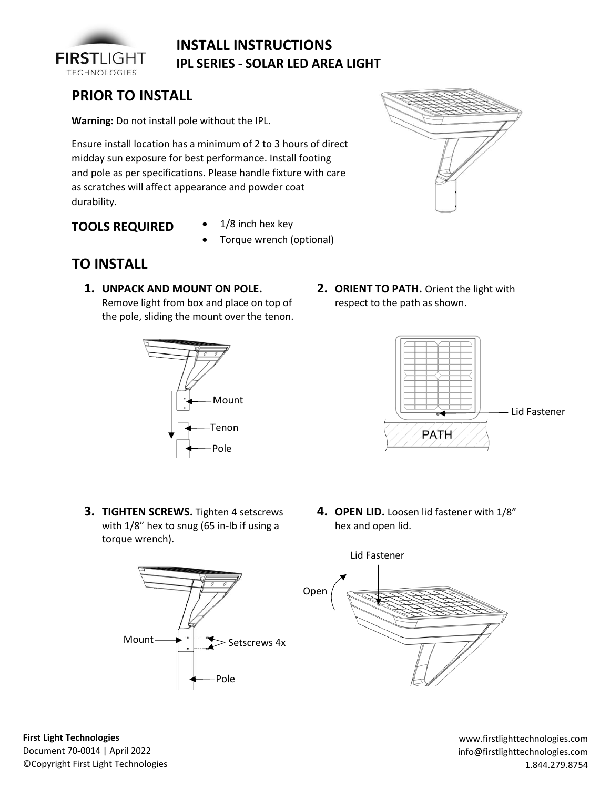

## **INSTALL INSTRUCTIONS IPL SERIES - SOLAR LED AREA LIGHT**

## **PRIOR TO INSTALL**

**Warning:** Do not install pole without the IPL.

Ensure install location has a minimum of 2 to 3 hours of direct midday sun exposure for best performance. Install footing and pole as per specifications. Please handle fixture with care as scratches will affect appearance and powder coat durability.

**TOOLS REQUIRED**

- 1/8 inch hex key
- Torque wrench (optional)



**1. UNPACK AND MOUNT ON POLE.** Remove light from box and place on top of

the pole, sliding the mount over the tenon.







- **3. TIGHTEN SCREWS.** Tighten 4 setscrews with  $1/8$ " hex to snug (65 in-lb if using a torque wrench).
- **4. OPEN LID.** Loosen lid fastener with 1/8" hex and open lid.





**First Light Technologies**  Document 70-0014 | April 2022 ©Copyright First Light Technologies

www.firstlighttechnologies.com info@firstlighttechnologies.com 1.844.279.8754